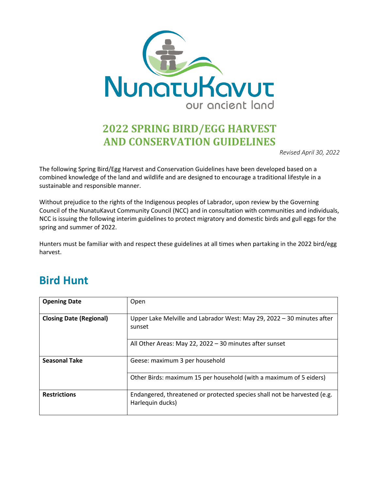

## **2022 SPRING BIRD/EGG HARVEST AND CONSERVATION GUIDELINES**

*Revised April 30, 2022*

The following Spring Bird/Egg Harvest and Conservation Guidelines have been developed based on a combined knowledge of the land and wildlife and are designed to encourage a traditional lifestyle in a sustainable and responsible manner.

Without prejudice to the rights of the Indigenous peoples of Labrador, upon review by the Governing Council of the NunatuKavut Community Council (NCC) and in consultation with communities and individuals, NCC is issuing the following interim guidelines to protect migratory and domestic birds and gull eggs for the spring and summer of 2022.

Hunters must be familiar with and respect these guidelines at all times when partaking in the 2022 bird/egg harvest.

### **Bird Hunt**

| <b>Opening Date</b>            | Open                                                                                         |
|--------------------------------|----------------------------------------------------------------------------------------------|
| <b>Closing Date (Regional)</b> | Upper Lake Melville and Labrador West: May 29, 2022 - 30 minutes after<br>sunset             |
|                                | All Other Areas: May 22, 2022 - 30 minutes after sunset                                      |
| <b>Seasonal Take</b>           | Geese: maximum 3 per household                                                               |
|                                | Other Birds: maximum 15 per household (with a maximum of 5 eiders)                           |
| <b>Restrictions</b>            | Endangered, threatened or protected species shall not be harvested (e.g.<br>Harlequin ducks) |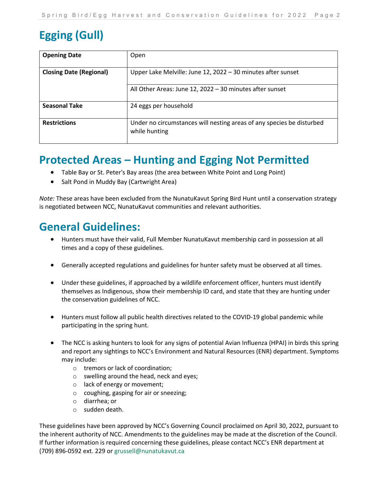# **Egging (Gull)**

| <b>Opening Date</b>            | Open                                                                                   |
|--------------------------------|----------------------------------------------------------------------------------------|
| <b>Closing Date (Regional)</b> | Upper Lake Melville: June 12, 2022 - 30 minutes after sunset                           |
|                                | All Other Areas: June 12, 2022 - 30 minutes after sunset                               |
| <b>Seasonal Take</b>           | 24 eggs per household                                                                  |
| <b>Restrictions</b>            | Under no circumstances will nesting areas of any species be disturbed<br>while hunting |

### **Protected Areas – Hunting and Egging Not Permitted**

- Table Bay or St. Peter's Bay areas (the area between White Point and Long Point)
- Salt Pond in Muddy Bay (Cartwright Area)

*Note:* These areas have been excluded from the NunatuKavut Spring Bird Hunt until a conservation strategy is negotiated between NCC, NunatuKavut communities and relevant authorities.

#### **General Guidelines:**

- Hunters must have their valid, Full Member NunatuKavut membership card in possession at all times and a copy of these guidelines.
- Generally accepted regulations and guidelines for hunter safety must be observed at all times.
- Under these guidelines, if approached by a wildlife enforcement officer, hunters must identify themselves as Indigenous, show their membership ID card, and state that they are hunting under the conservation guidelines of NCC.
- Hunters must follow all public health directives related to the COVID-19 global pandemic while participating in the spring hunt.
- The NCC is asking hunters to look for any signs of potential Avian Influenza (HPAI) in birds this spring and report any sightings to NCC's Environment and Natural Resources (ENR) department. Symptoms may include:
	- o tremors or lack of coordination;
	- o swelling around the head, neck and eyes;
	- o lack of energy or movement;
	- o coughing, gasping for air or sneezing;
	- o diarrhea; or
	- o sudden death.

These guidelines have been approved by NCC's Governing Council proclaimed on April 30, 2022, pursuant to the inherent authority of NCC. Amendments to the guidelines may be made at the discretion of the Council. If further information is required concerning these guidelines, please contact NCC's ENR department at (709) 896-0592 ext. 229 or grussell@nunatukavut.ca